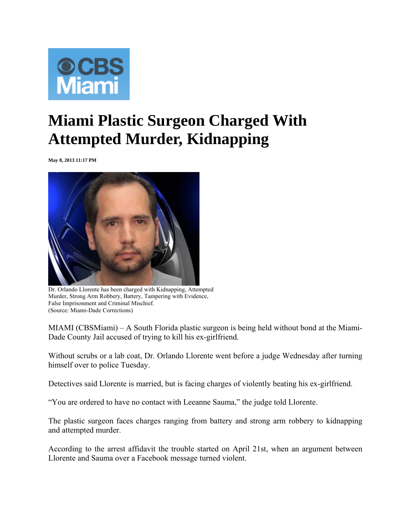

## **Miami Plastic Surgeon Charged With Attempted Murder, Kidnapping**

**May 8, 2013 11:17 PM** 



Dr. Orlando Llorente has been charged with Kidnapping, Attempted Murder, Strong Arm Robbery, Battery, Tampering with Evidence, False Imprisonment and Criminal Mischief. (Source: Miami-Dade Corrections)

MIAMI (CBSMiami) – A South Florida plastic surgeon is being held without bond at the Miami-Dade County Jail accused of trying to kill his ex-girlfriend.

Without scrubs or a lab coat, Dr. Orlando Llorente went before a judge Wednesday after turning himself over to police Tuesday.

Detectives said Llorente is married, but is facing charges of violently beating his ex-girlfriend.

"You are ordered to have no contact with Leeanne Sauma," the judge told Llorente.

The plastic surgeon faces charges ranging from battery and strong arm robbery to kidnapping and attempted murder.

According to the arrest affidavit the trouble started on April 21st, when an argument between Llorente and Sauma over a Facebook message turned violent.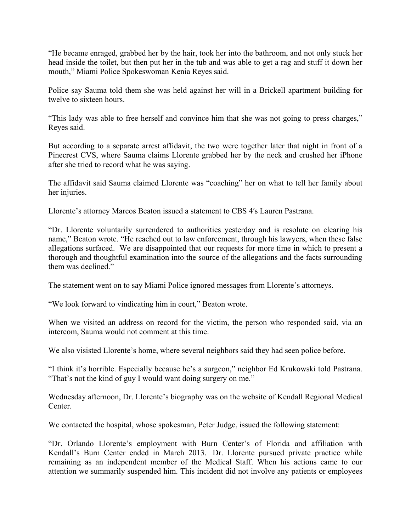"He became enraged, grabbed her by the hair, took her into the bathroom, and not only stuck her head inside the toilet, but then put her in the tub and was able to get a rag and stuff it down her mouth," Miami Police Spokeswoman Kenia Reyes said.

Police say Sauma told them she was held against her will in a Brickell apartment building for twelve to sixteen hours.

"This lady was able to free herself and convince him that she was not going to press charges," Reyes said.

But according to a separate arrest affidavit, the two were together later that night in front of a Pinecrest CVS, where Sauma claims Llorente grabbed her by the neck and crushed her iPhone after she tried to record what he was saying.

The affidavit said Sauma claimed Llorente was "coaching" her on what to tell her family about her injuries.

Llorente's attorney Marcos Beaton issued a statement to CBS 4′s Lauren Pastrana.

"Dr. Llorente voluntarily surrendered to authorities yesterday and is resolute on clearing his name," Beaton wrote. "He reached out to law enforcement, through his lawyers, when these false allegations surfaced. We are disappointed that our requests for more time in which to present a thorough and thoughtful examination into the source of the allegations and the facts surrounding them was declined."

The statement went on to say Miami Police ignored messages from Llorente's attorneys.

"We look forward to vindicating him in court," Beaton wrote.

When we visited an address on record for the victim, the person who responded said, via an intercom, Sauma would not comment at this time.

We also visisted Llorente's home, where several neighbors said they had seen police before.

"I think it's horrible. Especially because he's a surgeon," neighbor Ed Krukowski told Pastrana. "That's not the kind of guy I would want doing surgery on me."

Wednesday afternoon, Dr. Llorente's biography was on the website of Kendall Regional Medical **Center** 

We contacted the hospital, whose spokesman, Peter Judge, issued the following statement:

"Dr. Orlando Llorente's employment with Burn Center's of Florida and affiliation with Kendall's Burn Center ended in March 2013. Dr. Llorente pursued private practice while remaining as an independent member of the Medical Staff. When his actions came to our attention we summarily suspended him. This incident did not involve any patients or employees